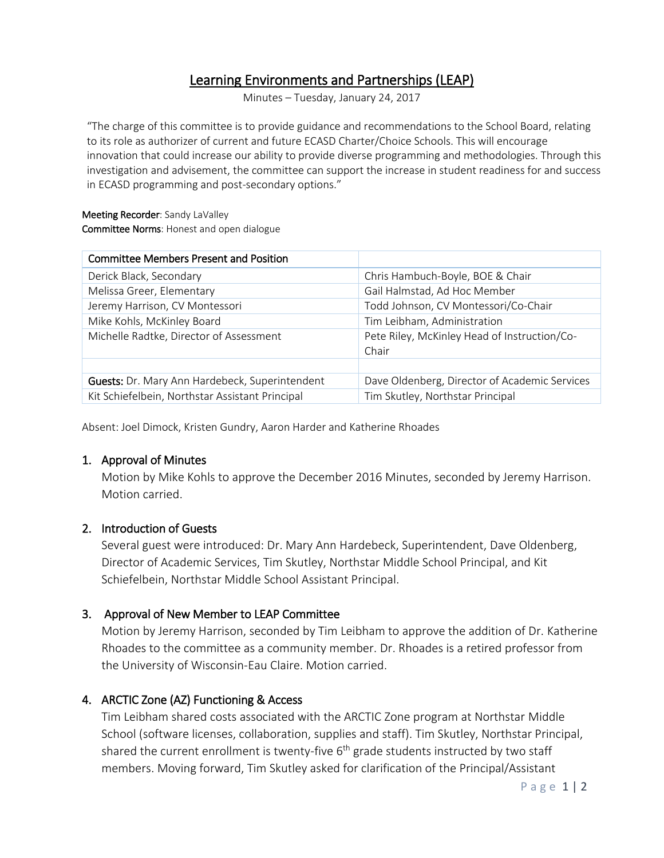# Learning Environments and Partnerships (LEAP)

Minutes – Tuesday, January 24, 2017

"The charge of this committee is to provide guidance and recommendations to the School Board, relating to its role as authorizer of current and future ECASD Charter/Choice Schools. This will encourage innovation that could increase our ability to provide diverse programming and methodologies. Through this investigation and advisement, the committee can support the increase in student readiness for and success in ECASD programming and post-secondary options."

### Meeting Recorder: Sandy LaValley Committee Norms: Honest and open dialogue

| <b>Committee Members Present and Position</b>   |                                                       |
|-------------------------------------------------|-------------------------------------------------------|
| Derick Black, Secondary                         | Chris Hambuch-Boyle, BOE & Chair                      |
| Melissa Greer, Elementary                       | Gail Halmstad, Ad Hoc Member                          |
| Jeremy Harrison, CV Montessori                  | Todd Johnson, CV Montessori/Co-Chair                  |
| Mike Kohls, McKinley Board                      | Tim Leibham, Administration                           |
| Michelle Radtke, Director of Assessment         | Pete Riley, McKinley Head of Instruction/Co-<br>Chair |
|                                                 |                                                       |
| Guests: Dr. Mary Ann Hardebeck, Superintendent  | Dave Oldenberg, Director of Academic Services         |
| Kit Schiefelbein, Northstar Assistant Principal | Tim Skutley, Northstar Principal                      |

Absent: Joel Dimock, Kristen Gundry, Aaron Harder and Katherine Rhoades

## 1. Approval of Minutes

Motion by Mike Kohls to approve the December 2016 Minutes, seconded by Jeremy Harrison. Motion carried.

## 2. Introduction of Guests

Several guest were introduced: Dr. Mary Ann Hardebeck, Superintendent, Dave Oldenberg, Director of Academic Services, Tim Skutley, Northstar Middle School Principal, and Kit Schiefelbein, Northstar Middle School Assistant Principal.

## 3. Approval of New Member to LEAP Committee

Motion by Jeremy Harrison, seconded by Tim Leibham to approve the addition of Dr. Katherine Rhoades to the committee as a community member. Dr. Rhoades is a retired professor from the University of Wisconsin-Eau Claire. Motion carried.

## 4. ARCTIC Zone (AZ) Functioning & Access

Tim Leibham shared costs associated with the ARCTIC Zone program at Northstar Middle School (software licenses, collaboration, supplies and staff). Tim Skutley, Northstar Principal, shared the current enrollment is twenty-five  $6<sup>th</sup>$  grade students instructed by two staff members. Moving forward, Tim Skutley asked for clarification of the Principal/Assistant